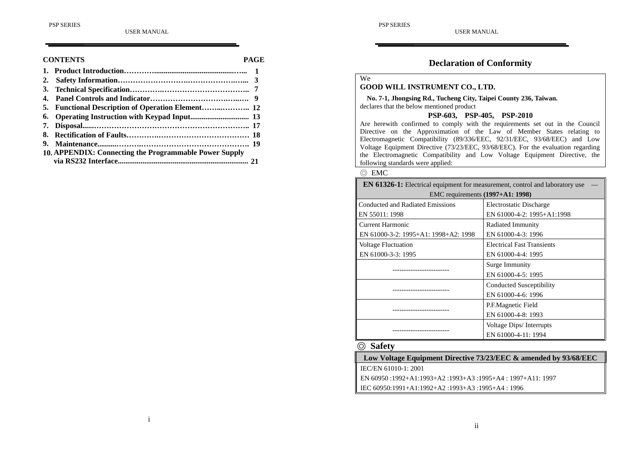#### **CONTENTS PAGE**

| 2. |                                                        |  |
|----|--------------------------------------------------------|--|
|    |                                                        |  |
|    |                                                        |  |
|    |                                                        |  |
|    |                                                        |  |
|    |                                                        |  |
| 8. |                                                        |  |
| 9. |                                                        |  |
|    | 10. APPENDIX: Connecting the Programmable Power Supply |  |
|    |                                                        |  |

# **Declaration of Conformity**

# We

# **GOOD WILL INSTRUMENT CO., LTD.**

**No. 7-1, Jhongsing Rd., Tucheng City, Taipei County 236, Taiwan.** declares that the below mentioned product

#### **PSP-603, PSP-405, PSP-2010**

Are herewith confirmed to comply with the requirements set out in the Council Directive on the Approximation of the Law of Member States relating to Electromagnetic Compatibility (89/336/EEC, 92/31/EEC, 93/68/EEC) and Low Voltage Equipment Directive (73/23/EEC, 93/68/EEC). For the evaluation regarding the Electromagnetic Compatibility and Low Voltage Equipment Directive, the following standards were applied:

#### ◎ EMC

| <b>EN 61326-1:</b> Electrical equipment for measurement, control and laboratory use |                                   |  |  |  |
|-------------------------------------------------------------------------------------|-----------------------------------|--|--|--|
| EMC requirements (1997+A1: 1998)                                                    |                                   |  |  |  |
| Conducted and Radiated Emissions                                                    | Electrostatic Discharge           |  |  |  |
| EN 55011: 1998                                                                      | EN 61000-4-2: 1995+A1:1998        |  |  |  |
| Current Harmonic                                                                    | Radiated Immunity                 |  |  |  |
| EN 61000-3-2: 1995+A1: 1998+A2: 1998                                                | EN 61000-4-3: 1996                |  |  |  |
| <b>Voltage Fluctuation</b>                                                          | <b>Electrical Fast Transients</b> |  |  |  |
| EN 61000-3-3: 1995                                                                  | EN 61000-4-4: 1995                |  |  |  |
|                                                                                     | Surge Immunity                    |  |  |  |
|                                                                                     | EN 61000-4-5: 1995                |  |  |  |
|                                                                                     | Conducted Susceptibility          |  |  |  |
|                                                                                     | EN 61000-4-6: 1996                |  |  |  |
|                                                                                     | P.F.Magnetic Field                |  |  |  |
|                                                                                     | EN 61000-4-8: 1993                |  |  |  |
|                                                                                     | Voltage Dips/Interrupts           |  |  |  |
|                                                                                     | EN 61000-4-11: 1994               |  |  |  |

#### ◎ **Safety**

**Low Voltage Equipment Directive 73/23/EEC & amended by 93/68/EEC** IEC/EN 61010-1: 2001 EN 60950 :1992+A1:1993+A2 :1993+A3 :1995+A4 : 1997+A11: 1997

IEC 60950:1991+A1:1992+A2 :1993+A3 :1995+A4 : 1996

#### i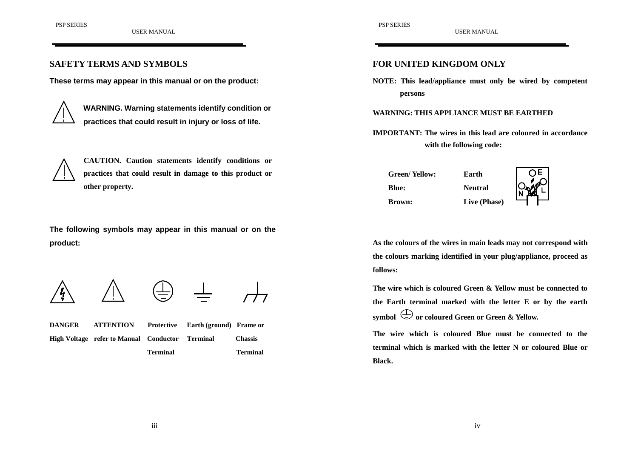#### **SAFETY TERMS AND SYMBOLS**

**These terms may appear in this manual or on the product:**



**WARNING. Warning statements identify condition or practices that could result in injury or loss of life.**



**CAUTION. Caution statements identify conditions or practices that could result in damage to this product or other property.**

**The following symbols may appear in this manual or on the product:**





 $\mathbf{I}$ 

**DANGER ATTENTION Protective Earth (ground) Frame or High Voltage refer to Manual Conductor Terminal Chassis Terminal Terminal** **FOR UNITED KINGDOM ONLY**

**NOTE: This lead/appliance must only be wired by competent persons**

**WARNING: THIS APPLIANCE MUST BE EARTHED**

**IMPORTANT: The wires in this lead are coloured in accordancewith the following code:**

| Green/ Yellow: | Earth          |  |
|----------------|----------------|--|
| <b>Blue:</b>   | <b>Neutral</b> |  |
| <b>Brown:</b>  | Live (Phase)   |  |

**As the colours of the wires in main leads may not correspond with the colours marking identified in your plug/appliance, proceed as follows:**

**The wire which is coloured Green & Yellow must be connected tothe Earth terminal marked with the letter E or by the earth** symbol  $\bigoplus$  or coloured Green or Green & Yellow.

**The wire which is coloured Blue must be connected to theterminal which is marked with the letter N or coloured Blue orBlack.**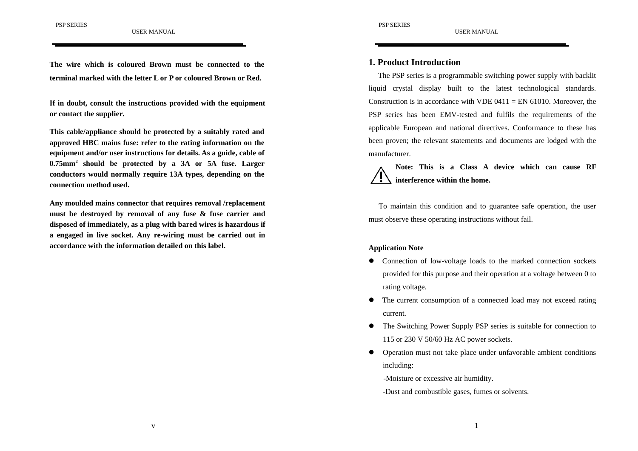**The wire which is coloured Brown must be connected to theterminal marked with the letter L or P or coloured Brown or Red.**

**If in doubt, consult the instructions provided with the equipment or contact the supplier.**

**This cable/appliance should be protected by a suitably rated and approved HBC mains fuse: refer to the rating information on the equipment and/or user instructions for details. As a guide, cable of 0.75mm2 should be protected by a 3A or 5A fuse. Larger conductors would normally require 13A types, depending on the connection method used.**

**Any moulded mains connector that requires removal /replacement must be destroyed by removal of any fuse & fuse carrier and disposed of immediately, as a plug with bared wires is hazardous if a engaged in live socket. Any re-wiring must be carried out in accordance with the information detailed on this label.**

USER MANUAL

#### **1. Product Introduction**

The PSP series is a programmable switching power supply with backlit liquid crystal display built to the latest technological standards. Construction is in accordance with VDE 0411 = EN 61010. Moreover, the PSP series has been EMV-tested and fulfils the requirements of the applicable European and national directives. Conformance to these has been proven; the relevant statements and documents are lodged with the manufacturer.

**Note: This is a Class A device which can cause RFinterference within the home.**

To maintain this condition and to guarantee safe operation, the user must observe these operating instructions without fail.

#### **Application Note**

- Connection of low-voltage loads to the marked connection sockets provided for this purpose and their operation at a voltage between 0 to rating voltage.
- $\bullet$  The current consumption of a connected load may not exceed rating current.
- $\bullet$  The Switching Power Supply PSP series is suitable for connection to 115 or 230 V 50/60 Hz AC power sockets.
- $\bullet$  Operation must not take place under unfavorable ambient conditions including:

-Moisture or excessive air humidity.

-Dust and combustible gases, fumes or solvents.

v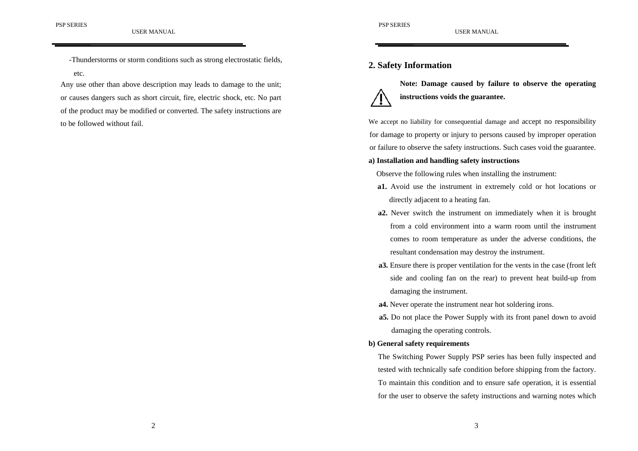etc.

# -Thunderstorms or storm conditions such as strong electrostatic fields,

Any use other than above description may leads to damage to the unit; or causes dangers such as short circuit, fire, electric shock, etc. No part of the product may be modified or converted. The safety instructions are to be followed without fail.

# **2. Safety Information**



**Note: Damage caused by failure to observe the operating instructions voids the guarantee.**

We accept no liability for consequential damage and accept no responsibility for damage to property or injury to persons caused by improper operation or failure to observe the safety instructions. Such cases void the guarantee.

#### **a) Installation and handling safety instructions**

Observe the following rules when installing the instrument:

- **a1.** Avoid use the instrument in extremely cold or hot locations or directly adjacent to a heating fan.
- **a2.** Never switch the instrument on immediately when it is brought from a cold environment into a warm room until the instrumentcomes to room temperature as under the adverse conditions, the resultant condensation may destroy the instrument.
- **a3.** Ensure there is proper ventilation for the vents in the case (front left side and cooling fan on the rear) to prevent heat build-up from damaging the instrument.
- **a4.** Never operate the instrument near hot soldering irons.
- **a5.** Do not place the Power Supply with its front panel down to avoid damaging the operating controls.

#### **b) General safety requirements**

The Switching Power Supply PSP series has been fully inspected and tested with technically safe condition before shipping from the factory. To maintain this condition and to ensure safe operation, it is essential for the user to observe the safety instructions and warning notes which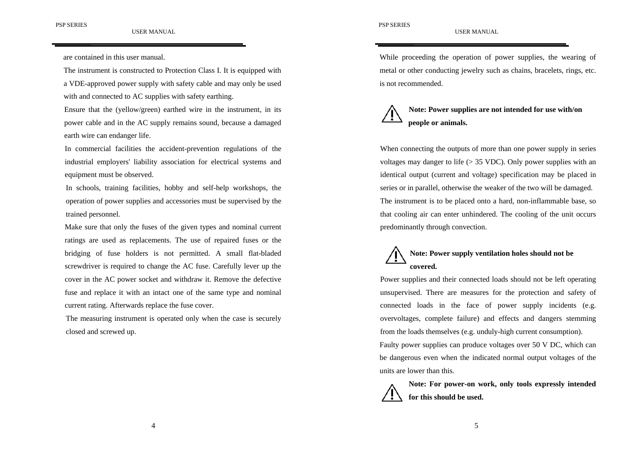#### PSP SERIES

are contained in this user manual.

The instrument is constructed to Protection Class I. It is equipped with a VDE-approved power supply with safety cable and may only be used with and connected to AC supplies with safety earthing.

Ensure that the (yellow/green) earthed wire in the instrument, in its power cable and in the AC supply remains sound, because a damaged earth wire can endanger life.

In commercial facilities the accident-prevention regulations of the industrial employers' liability association for electrical systems and equipment must be observed.

In schools, training facilities, hobby and self-help workshops, the operation of power supplies and accessories must be supervised by the trained personnel.

Make sure that only the fuses of the given types and nominal current ratings are used as replacements. The use of repaired fuses or the bridging of fuse holders is not permitted. A small flat-bladed screwdriver is required to change the AC fuse. Carefully lever up the cover in the AC power socket and withdraw it. Remove the defective fuse and replace it with an intact one of the same type and nominal current rating. Afterwards replace the fuse cover.

The measuring instrument is operated only when the case is securely closed and screwed up.

While proceeding the operation of power supplies, the wearing of metal or other conducting jewelry such as chains, bracelets, rings, etc. is not recommended.

USER MANUAL



# **Note: Power supplies are not intended for use with/on people or animals.**

When connecting the outputs of more than one power supply in series voltages may danger to life  $(> 35 \text{ VDC})$ . Only power supplies with an identical output (current and voltage) specification may be placed in series or in parallel, otherwise the weaker of the two will be damaged. The instrument is to be placed onto a hard, non-inflammable base, so that cooling air can enter unhindered. The cooling of the unit occurs predominantly through convection.

# **Note: Power supply ventilation holes should not be covered.**

Power supplies and their connected loads should not be left operating unsupervised. There are measures for the protection and safety of connected loads in the face of power supply incidents (e.g. overvoltages, complete failure) and effects and dangers stemming from the loads themselves (e.g. unduly-high current consumption).

Faulty power supplies can produce voltages over 50 V DC, which can be dangerous even when the indicated normal output voltages of the units are lower than this.

**Note: For power-on work, only tools expressly intended for this should be used.**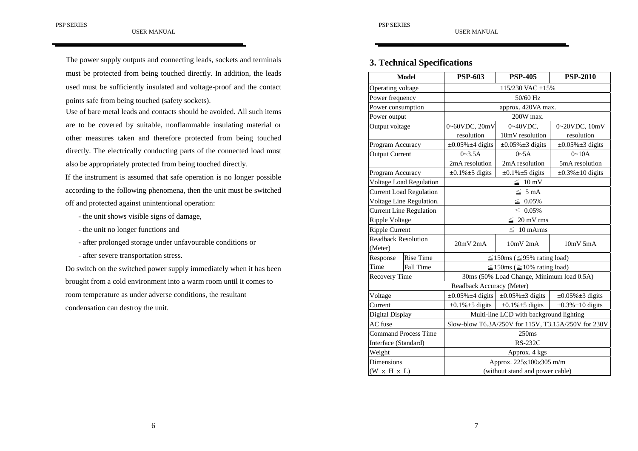The power supply outputs and connecting leads, sockets and terminals must be protected from being touched directly. In addition, the leads used must be sufficiently insulated and voltage-proof and the contact points safe from being touched (safety sockets).

Use of bare metal leads and contacts should be avoided. All such itemsare to be covered by suitable, nonflammable insulating material or other measures taken and therefore protected from being touched directly. The electrically conducting parts of the connected load must also be appropriately protected from being touched directly.

If the instrument is assumed that safe operation is no longer possible according to the following phenomena, then the unit must be switched off and protected against unintentional operation:

- the unit shows visible signs of damage,
- the unit no longer functions and
- after prolonged storage under unfavourable conditions or
- after severe transportation stress.

Do switch on the switched power supply immediately when it has been brought from a cold environment into a warm room until it comes to room temperature as under adverse conditions, the resultant condensation can destroy the unit.

# **3. Technical Specifications**

| <b>Model</b>            |                                | <b>PSP-603</b>                                      | <b>PSP-405</b>                         | <b>PSP-2010</b>           |  |  |
|-------------------------|--------------------------------|-----------------------------------------------------|----------------------------------------|---------------------------|--|--|
| Operating voltage       |                                | 115/230 VAC $\pm$ 15%                               |                                        |                           |  |  |
| Power frequency         |                                |                                                     | 50/60 Hz                               |                           |  |  |
| Power consumption       |                                | approx. 420VA max.                                  |                                        |                           |  |  |
| Power output            |                                |                                                     | 200W max.                              |                           |  |  |
| Output voltage          |                                | 0~60VDC, 20mV                                       | $0\nu 40$ VDC,                         | 0~20VDC, 10mV             |  |  |
|                         |                                | resolution                                          | 10mV resolution                        | resolution                |  |  |
| Program Accuracy        |                                | $\pm 0.05\% \pm 4$ digits                           | $\pm 0.05\% \pm 3$ digits              | $\pm 0.05\% \pm 3$ digits |  |  |
| <b>Output Current</b>   |                                | $0 - 3.5A$                                          | 0~5A                                   | $0 - 10A$                 |  |  |
|                         |                                | 2mA resolution                                      | 2mA resolution                         | 5mA resolution            |  |  |
| Program Accuracy        |                                | $\pm 0.1\% \pm 5$ digits                            | $\pm 0.1\% \pm 5$ digits               | $\pm 0.3\% \pm 10$ digits |  |  |
|                         | <b>Voltage Load Regulation</b> | $\leq 10$ mV                                        |                                        |                           |  |  |
|                         | <b>Current Load Regulation</b> |                                                     | $\leq 5 \text{ mA}$                    |                           |  |  |
|                         | Voltage Line Regulation.       | $\leq 0.05\%$                                       |                                        |                           |  |  |
|                         | <b>Current Line Regulation</b> | $\leq 0.05\%$                                       |                                        |                           |  |  |
| Ripple Voltage          |                                | $\leq 20$ mV rms                                    |                                        |                           |  |  |
| <b>Ripple Current</b>   |                                | $\leq 10$ mArms                                     |                                        |                           |  |  |
| Readback Resolution     |                                | $20mV$ $2mA$                                        | $10mV$ 2mA                             | $10mV$ 5mA                |  |  |
| (Meter)                 |                                |                                                     |                                        |                           |  |  |
| Response                | <b>Rise Time</b>               |                                                     | $\leq$ 150ms ( $\leq$ 95% rating load) |                           |  |  |
| Time                    | <b>Fall Time</b>               | $\leq$ 150ms ( $\geq$ 10% rating load)              |                                        |                           |  |  |
| Recovery Time           |                                | 30ms (50% Load Change, Minimum load 0.5A)           |                                        |                           |  |  |
|                         |                                | Readback Accuracy (Meter)                           |                                        |                           |  |  |
| Voltage                 |                                | $\pm 0.05\% \pm 4$ digits                           | $\pm 0.05\% \pm 3$ digits              | $\pm 0.05\% \pm 3$ digits |  |  |
| Current                 |                                | $\pm 0.1\% \pm 5$ digits                            | $\pm 0.1\% \pm 5$ digits               | $\pm 0.3\% \pm 10$ digits |  |  |
| Digital Display         |                                | Multi-line LCD with background lighting             |                                        |                           |  |  |
| AC fuse                 |                                | Slow-blow T6.3A/250V for 115V, T3.15A/250V for 230V |                                        |                           |  |  |
|                         | <b>Command Process Time</b>    | 250ms                                               |                                        |                           |  |  |
| Interface (Standard)    |                                | <b>RS-232C</b>                                      |                                        |                           |  |  |
| Weight                  |                                | Approx. 4 kgs                                       |                                        |                           |  |  |
| Dimensions              |                                | Approx. 225×100×305 m/m                             |                                        |                           |  |  |
| $(W \times H \times L)$ |                                | (without stand and power cable)                     |                                        |                           |  |  |

USER MANUAL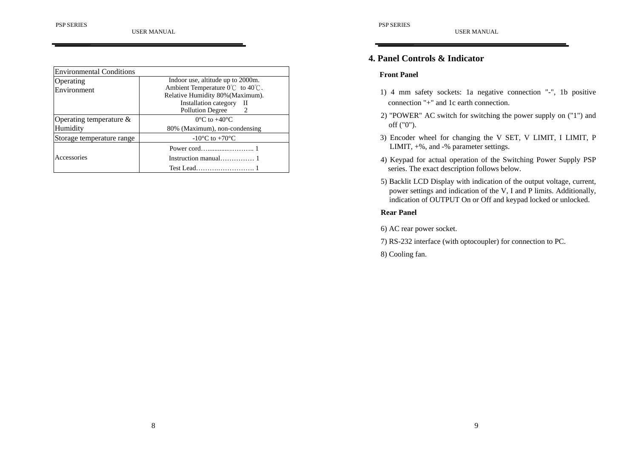| <b>Environmental Conditions</b> |                                                                                                                               |  |  |
|---------------------------------|-------------------------------------------------------------------------------------------------------------------------------|--|--|
| Operating                       | Indoor use, altitude up to 2000m.<br>Ambient Temperature $0^{\circ}$ C to $40^{\circ}$ C.<br>Relative Humidity 80% (Maximum). |  |  |
| Environment                     |                                                                                                                               |  |  |
|                                 | Installation category II                                                                                                      |  |  |
|                                 | <b>Pollution Degree</b><br>$\overline{2}$                                                                                     |  |  |
| Operating temperature $\&$      | $0^{\circ}$ C to +40 $^{\circ}$ C                                                                                             |  |  |
| Humidity                        | 80% (Maximum), non-condensing                                                                                                 |  |  |
| Storage temperature range       | $-10^{\circ}$ C to $+70^{\circ}$ C                                                                                            |  |  |
|                                 |                                                                                                                               |  |  |
| Accessories                     |                                                                                                                               |  |  |
|                                 |                                                                                                                               |  |  |

#### **Front Panel**

1) 4 mm safety sockets: 1a negative connection "-", 1b positive connection "+" and 1c earth connection.

USER MANUAL

- 2) "POWER" AC switch for switching the power supply on ("1") and off ("0").
- 3) Encoder wheel for changing the V SET, V LIMIT, I LIMIT, P LIMIT, +%, and -% parameter settings.
- 4) Keypad for actual operation of the Switching Power Supply PSP series. The exact description follows below.
- 5) Backlit LCD Display with indication of the output voltage, current, power settings and indication of the V, I and P limits. Additionally, indication of OUTPUT On or Off and keypad locked or unlocked.

#### **Rear Panel**

6) AC rear power socket.

7) RS-232 interface (with optocoupler) for connection to PC.

8) Cooling fan.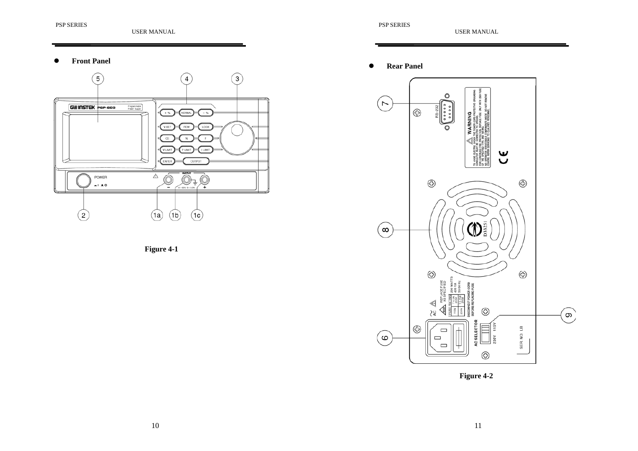#### $\bullet$ **Front Panel**





#### $\bullet$ **Rear Panel**



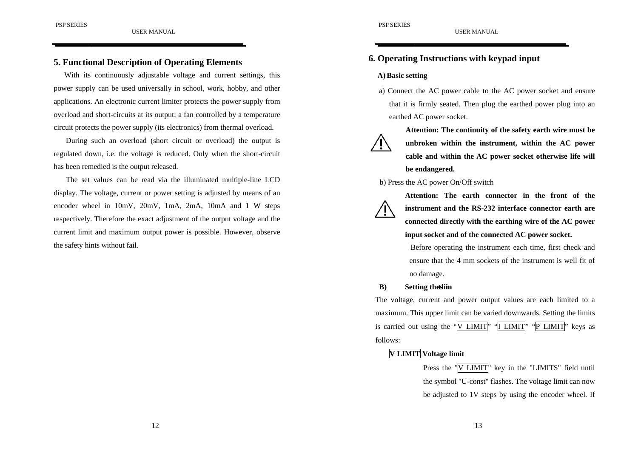With its continuously adjustable voltage and current settings, this power supply can be used universally in school, work, hobby, and other applications. An electronic current limiter protects the power supply from overload and short-circuits at its output; a fan controlled by a temperature circuit protects the power supply (its electronics) from thermal overload.

During such an overload (short circuit or overload) the output is regulated down, i.e. the voltage is reduced. Only when the short-circuit has been remedied is the output released.

The set values can be read via the illuminated multiple-line LCD display. The voltage, current or power setting is adjusted by means of an encoder wheel in 10mV, 20mV, 1mA, 2mA, 10mA and 1 W steps respectively. Therefore the exact adjustment of the output voltage and the current limit and maximum output power is possible. However, observe the safety hints without fail.

# **6. Operating Instructions with keypad input**

#### **A)Basic setting**

a) Connect the AC power cable to the AC power socket and ensure that it is firmly seated. Then plug the earthed power plug into an earthed AC power socket.

USER MANUAL



**Attention: The continuity of the safety earth wire must be unbroken within the instrument, within the AC power cable and within the AC power socket otherwise life will be endangered.**

#### b) Press the AC power On/Off switch



**Attention: The earth connector in the front of theinstrument and the RS-232 interface connector earth are connected directly with the earthing wire of the AC power input socket and of the connected AC power socket.**

Before operating the instrument each time, first check and ensure that the 4 mm sockets of the instrument is well fit ofno damage.

#### **B**) **Setting the sum Setting**

The voltage, current and power output values are each limited to a maximum. This upper limit can be varied downwards. Setting the limits is carried out using the "V LIMIT" "I LIMIT" "P LIMIT" keys as follows:

# **V LIMIT Voltage limit**

Press the "V LIMIT" key in the "LIMITS" field until the symbol "U-const" flashes. The voltage limit can now be adjusted to 1V steps by using the encoder wheel. If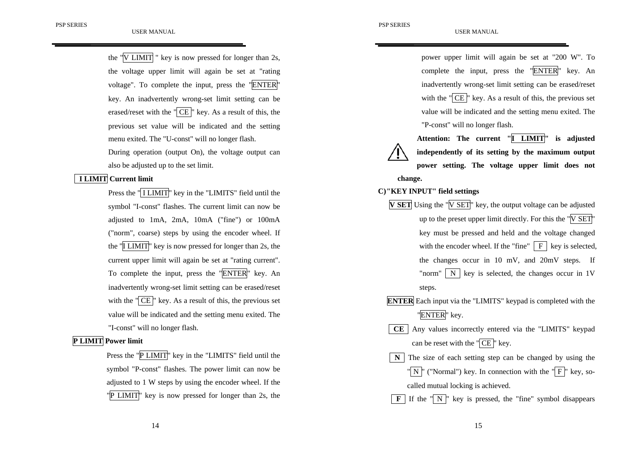the "V LIMIT " key is now pressed for longer than 2s, the voltage upper limit will again be set at "rating voltage". To complete the input, press the "ENTER" key. An inadvertently wrong-set limit setting can be erased/reset with the " $CE$ " key. As a result of this, the previous set value will be indicated and the setting menu exited. The "U-const" will no longer flash. During operation (output On), the voltage output can also be adjusted up to the set limit.

#### **I LIMIT Current limit**

Press the "<sup>I</sup> I LIMIT<sup>"</sup> key in the "LIMITS" field until the symbol "I-const" flashes. The current limit can now be adjusted to 1mA, 2mA, 10mA ("fine") or 100mA ("norm", coarse) steps by using the encoder wheel. If the "I LIMIT" key is now pressed for longer than 2s, the current upper limit will again be set at "rating current". To complete the input, press the "ENTER" key. An inadvertently wrong-set limit setting can be erased/reset with the " $CE$ " key. As a result of this, the previous set value will be indicated and the setting menu exited. The "I-const" will no longer flash.

#### **P LIMIT Power limit**

Press the "P LIMIT" key in the "LIMITS" field until the symbol "P-const" flashes. The power limit can now be adjusted to 1 W steps by using the encoder wheel. If the "P LIMIT" key is now pressed for longer than 2s, the power upper limit will again be set at "200 W". To complete the input, press the "ENTER" key. An inadvertently wrong-set limit setting can be erased/reset with the " $CE$ " key. As a result of this, the previous set value will be indicated and the setting menu exited. The "P-const" will no longer flash.

**Attention: The current "I LIMIT" is adjusted independently of its setting by the maximum output power setting. The voltage upper limit does not change.**

#### **C)"KEY INPUT" field settings**

- **V SET** Using the "V SET" key, the output voltage can be adjusted up to the preset upper limit directly. For this the "V SET" key must be pressed and held and the voltage changed with the encoder wheel. If the "fine"  $\mid$  F  $\mid$  key is selected, the changes occur in 10 mV, and 20mV steps. If "norm"  $\mid N \mid$  key is selected, the changes occur in 1V steps.
- **ENTER** Each input via the "LIMITS" keypad is completed with the "ENTER" key.
- **CE** Any values incorrectly entered via the "LIMITS" keypad can be reset with the " CE " key.
- The size of each setting step can be changed by using the " N  $\parallel$ " ("Normal") key. In connection with the " $\parallel$  F  $\parallel$ " key, so-

called mutual locking is achieved.

 $\mathbf{F}$  If the " $\mathbf{N}$ " key is pressed, the "fine" symbol disappears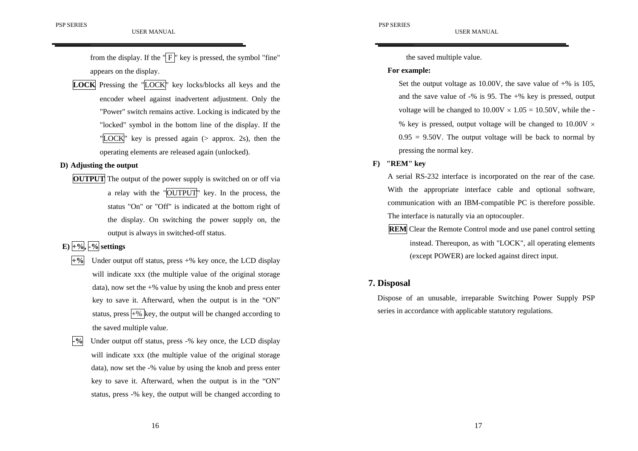from the display. If the " $\overline{F}$ " key is pressed, the symbol "fine" appears on the display.

**LOCK** Pressing the "LOCK" key locks/blocks all keys and the encoder wheel against inadvertent adjustment. Only the "Power" switch remains active. Locking is indicated by the "locked" symbol in the bottom line of the display. If the "LOCK" key is pressed again (> approx. 2s), then the operating elements are released again (unlocked).

#### **D) Adjusting the output**

**OUTPUT** The output of the power supply is switched on or off via a relay with the "OUTPUT" key. In the process, the status "On" or "Off" is indicated at the bottom right of the display. On switching the power supply on, the output is always in switched-off status.

# $\mathbf{E}$ ) +%,  $\mathbf{L}$  -% settings

- **+%** Under output off status, press +% key once, the LCD display will indicate xxx (the multiple value of the original storage data), now set the  $+$ % value by using the knob and press enter key to save it. Afterward, when the output is in the "ON" status, press  $+$ % key, the output will be changed according to the saved multiple value.
- **-%** Under output off status, press -% key once, the LCD display will indicate xxx (the multiple value of the original storage data), now set the -% value by using the knob and press enter key to save it. Afterward, when the output is in the "ON" status, press -% key, the output will be changed according to

the saved multiple value.

#### **For example:**

Set the output voltage as 10.00V, the save value of  $+$ % is 105, and the save value of -% is 95. The +% key is pressed, output voltage will be changed to  $10.00V \times 1.05 = 10.50V$ , while the -% key is pressed, output voltage will be changed to  $10.00V \times$  $0.95 = 9.50V$ . The output voltage will be back to normal by pressing the normal key.

USER MANUAL

#### **F) "REM" key**

A serial RS-232 interface is incorporated on the rear of the case. With the appropriate interface cable and optional software, communication with an IBM-compatible PC is therefore possible. The interface is naturally via an optocoupler.

**REM** Clear the Remote Control mode and use panel control setting instead. Thereupon, as with "LOCK", all operating elements (except POWER) are locked against direct input.

#### **7. Disposal**

Dispose of an unusable, irreparable Switching Power Supply PSP series in accordance with applicable statutory regulations.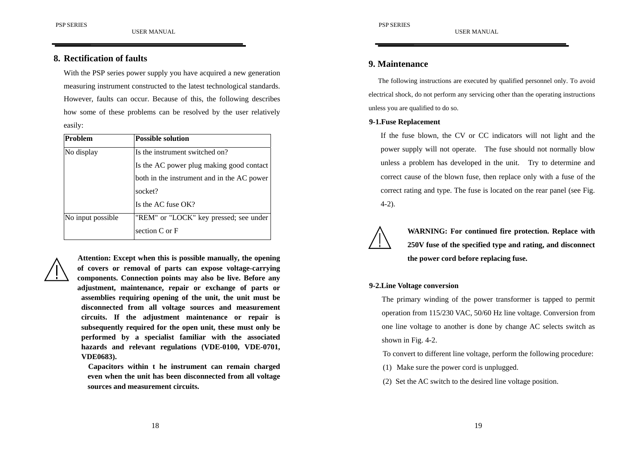With the PSP series power supply you have acquired a new generation measuring instrument constructed to the latest technological standards. However, faults can occur. Because of this, the following describes how some of these problems can be resolved by the user relatively easily:

| Problem           | <b>Possible solution</b>                   |  |
|-------------------|--------------------------------------------|--|
| No display        | Is the instrument switched on?             |  |
|                   | Is the AC power plug making good contact   |  |
|                   | both in the instrument and in the AC power |  |
|                   | socket?                                    |  |
|                   | Is the AC fuse OK?                         |  |
| No input possible | "REM" or "LOCK" key pressed; see under     |  |
|                   | section C or F                             |  |



**Attention: Except when this is possible manually, the opening of covers or removal of parts can expose voltage-carrying components. Connection points may also be live. Before any adjustment, maintenance, repair or exchange of parts or assemblies requiring opening of the unit, the unit must be disconnected from all voltage sources and measurement circuits. If the adjustment maintenance or repair is subsequently required for the open unit, these must only be performed by a specialist familiar with the associated hazards and relevant regulations (VDE-0100, VDE-0701, VDE0683).**

**Capacitors within t he instrument can remain charged even when the unit has been disconnected from all voltage sources and measurement circuits.**

# **9. Maintenance**

The following instructions are executed by qualified personnel only. To avoid electrical shock, do not perform any servicing other than the operating instructions unless you are qualified to do so.

USER MANUAL

#### **9-1.Fuse Replacement**

If the fuse blown, the CV or CC indicators will not light and the power supply will not operate. The fuse should not normally blow unless a problem has developed in the unit. Try to determine and correct cause of the blown fuse, then replace only with a fuse of the correct rating and type. The fuse is located on the rear panel (see Fig. 4-2).



**WARNING: For continued fire protection. Replace with 250V fuse of the specified type and rating, and disconnect the power cord before replacing fuse.**

#### **9-2.Line Voltage conversion**

The primary winding of the power transformer is tapped to permit operation from 115/230 VAC, 50/60 Hz line voltage. Conversion from one line voltage to another is done by change AC selects switch as shown in Fig. 4-2.

To convert to different line voltage, perform the following procedure:

- (1) Make sure the power cord is unplugged.
- (2) Set the AC switch to the desired line voltage position.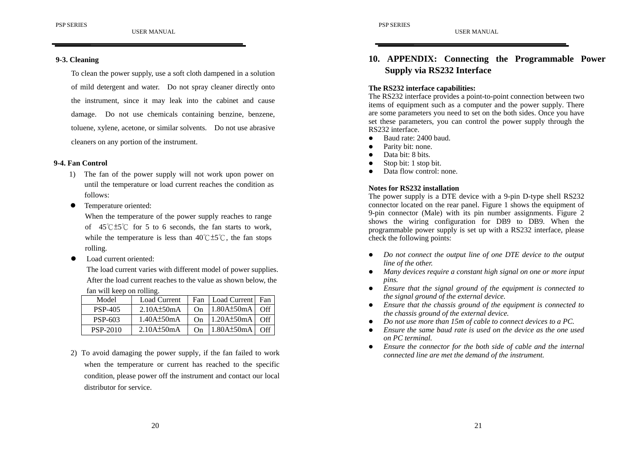To clean the power supply, use a soft cloth dampened in a solution of mild detergent and water. Do not spray cleaner directly onto the instrument, since it may leak into the cabinet and cause damage. Do not use chemicals containing benzine, benzene, toluene, xylene, acetone, or similar solvents. Do not use abrasive cleaners on any portion of the instrument.

#### **9-4. Fan Control**

- 1) The fan of the power supply will not work upon power on until the temperature or load current reaches the condition as follows:
- $\bullet$ Temperature oriented:

When the temperature of the power supply reaches to range of  $45^{\circ}$ C $\pm$ 5<sup>°</sup>C for 5 to 6 seconds, the fan starts to work, while the temperature is less than  $40^{\circ}$ C $\pm$ 5°C, the fan stops rolling.

 $\bullet$ Load current oriented:

> The load current varies with different model of power supplies. After the load current reaches to the value as shown below, the fan will keep on rolling.

| Model           | <b>Load Current</b> | Fan | Load Current Fan |                   |
|-----------------|---------------------|-----|------------------|-------------------|
| <b>PSP-405</b>  | $2.10A\pm50mA$      | On  | $1.80A\pm50mA$   | Off               |
| PSP-603         | $1.40A\pm50mA$      | On  | $1.20A\pm50mA$   | $\bigcap_{i=1}^n$ |
| <b>PSP-2010</b> | $2.10A\pm50mA$      | On  | $1.80A\pm50mA$   | Off.              |

2) To avoid damaging the power supply, if the fan failed to work when the temperature or current has reached to the specific condition, please power off the instrument and contact our local distributor for service.

# **10. APPENDIX: Connecting the Programmable Power Supply via RS232 Interface**

USER MANUAL

#### **The RS232 interface capabilities:**

The RS232 interface provides a point-to-point connection between two items of equipment such as a computer and the power supply. There are some parameters you need to set on the both sides. Once you have set these parameters, you can control the power supply through the RS232 interface.

- o Baud rate: 2400 baud.
- $\bullet$ Parity bit: none.
- o Data bit: 8 bits.
- o Stop bit: 1 stop bit.
- e Data flow control: none.

#### **Notes for RS232 installation**

The power supply is a DTE device with a 9-pin D-type shell RS232 connector located on the rear panel. Figure 1 shows the equipment of 9-pin connector (Male) with its pin number assignments. Figure 2 shows the wiring configuration for DB9 to DB9. When the programmable power supply is set up with a RS232 interface, please check the following points:

- $\bullet$  *Do not connect the output line of one DTE device to the output line of the other.*
- o *Many devices require a constant high signal on one or more input pins.*
- **•** Ensure that the signal ground of the equipment is connected to *the signal ground of the external device.*
- **•** Ensure that the chassis ground of the equipment is connected to *the chassis ground of the external device.*
- $\bullet$  *Do not use more than 15m of cable to connect devices to a PC.*
- z *Ensure the same baud rate is used on the device as the one used on PC terminal.*
- **•** Ensure the connector for the both side of cable and the internal *connected line are met the demand of the instrument.*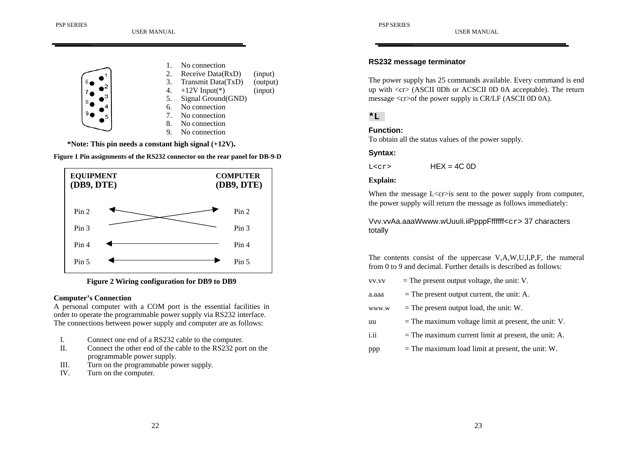

**\*Note: This pin needs a constant high signal (+12V).**





**Figure 2 Wiring configuration for DB9 to DB9**

#### **Computer's Connection**

A personal computer with a COM port is the essential facilities in order to operate the programmable power supply via RS232 interface. The connections between power supply and computer are as follows:

- I.Connect one end of a RS232 cable to the computer.
- II. Connect the other end of the cable to the RS232 port on the programmable power supply.
- III.Turn on the programmable power supply.
- IV.Turn on the computer.

#### **RS232 message terminator**

The power supply has 25 commands available. Every command is end up with <cr> (ASCII 0Dh or ACSCII 0D 0A acceptable). The return message <cr>of the power supply is CR/LF (ASCII 0D 0A).

# **\*L**

#### **Function:**

To obtain all the status values of the power supply.

#### **Syntax:**

 $L<sub>cr</sub>$  $HFX = 4C$   $0D$ 

#### **Explain:**

When the message  $L \leq c$  is sent to the power supply from computer, the power supply will return the message as follows immediately:

Vvv.vvAa.aaaWwww.wUuuli.iiPpppFffffff<cr>37 characters totally

The contents consist of the uppercase V,A,W,U,I,P,F, the numeral from 0 to 9 and decimal. Further details is described as follows:

- $vv.vv =$  The present output voltage, the unit: V.
- $a. a a a =$  The present output current, the unit: A.
- www.w  $=$  The present output load, the unit: W.
- uu  $=$  The maximum voltage limit at present, the unit: V.
- $i.ii$  = The maximum current limit at present, the unit: A.
- ppp  $=$  The maximum load limit at present, the unit: W.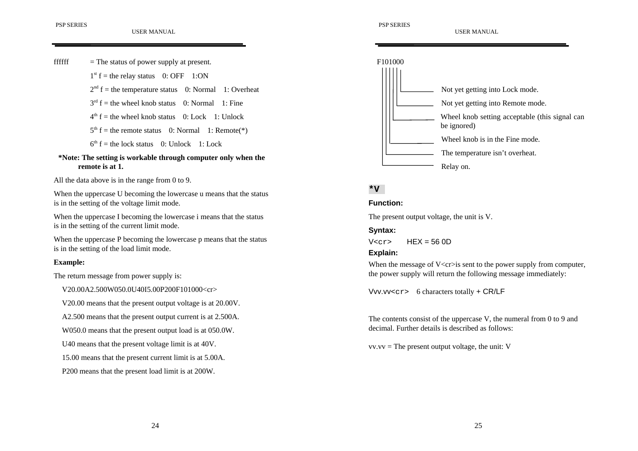

# **remote is at 1.**

All the data above is in the range from 0 to 9.

When the uppercase U becoming the lowercase u means that the status is in the setting of the voltage limit mode.

When the uppercase I becoming the lowercase i means that the status is in the setting of the current limit mode.

When the uppercase P becoming the lowercase p means that the status is in the setting of the load limit mode.

#### **Example:**

The return message from power supply is:

V20.00A2.500W050.0U40I5.00P200F101000<cr>

V20.00 means that the present output voltage is at 20.00V.

A2.500 means that the present output current is at 2.500A.

W050.0 means that the present output load is at 050.0W.

U40 means that the present voltage limit is at 40V.

15.00 means that the present current limit is at 5.00A.

P200 means that the present load limit is at 200W.



# **\*V**

## **Function:**

The present output voltage, the unit is V.

# **Syntax:**

 $V < c r$  HEX = 56 0D

# **Explain:**

When the message of  $V \langle cr \rangle$  is sent to the power supply from computer, the power supply will return the following message immediately:

Vvv.vv<cr> 6 characters totally + CR/LF

The contents consist of the uppercase V, the numeral from 0 to 9 and decimal. Further details is described as follows:

 $vv.vv =$  The present output voltage, the unit: V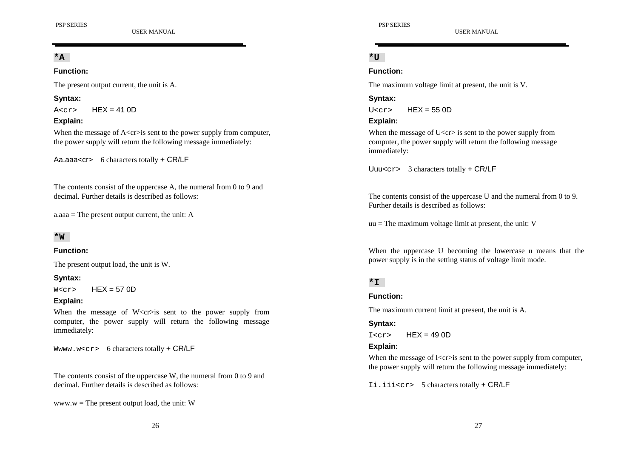**\*A**

#### **Function:**

The present output current, the unit is A.

# **Syntax:**

 $A < r >$   $HFX = 41.0D$ 

# **Explain:**

When the message of  $A \langle cr \rangle$  is sent to the power supply from computer, the power supply will return the following message immediately:

Aa.aaa<cr> 6 characters totally + CR/LF

The contents consist of the uppercase A, the numeral from 0 to 9 and decimal. Further details is described as follows:

 $a. a a a =$ The present output current, the unit: A

# **\*W**

# **Function:**

The present output load, the unit is W.

# **Syntax:**

 $W < c$ r>  $HEX = 57$  OD

# **Explain:**

When the message of  $W \leq c$  is sent to the power supply from computer, the power supply will return the following message immediately:

Www.w<cr> 6 characters totally  $+$  CR/LF

The contents consist of the uppercase W, the numeral from 0 to 9 and decimal. Further details is described as follows:

www.w = The present output load, the unit:  $W$ 

USER MANUAL

# **\*U**

# **Function:**

The maximum voltage limit at present, the unit is V.

# **Syntax:**

 $U<sub>corr</sub>$   $HFX = 55.0D$ 

# **Explain:**

When the message of  $U < c r > i s$  sent to the power supply from computer, the power supply will return the following message immediately:

Uuu<cr> 3 characters totally + CR/LF

The contents consist of the uppercase U and the numeral from 0 to 9. Further details is described as follows:

 $uu =$ The maximum voltage limit at present, the unit: V

When the uppercase U becoming the lowercase u means that the power supply is in the setting status of voltage limit mode.

# **\*I**

# **Function:**

The maximum current limit at present, the unit is A.

# **Syntax:**

 $I < cr>$  HEX = 49.0D

# **Explain:**

When the message of  $Ker\sin$  sent to the power supply from computer, the power supply will return the following message immediately:

Ii.iii<cr> 5 characters totally + CR/LF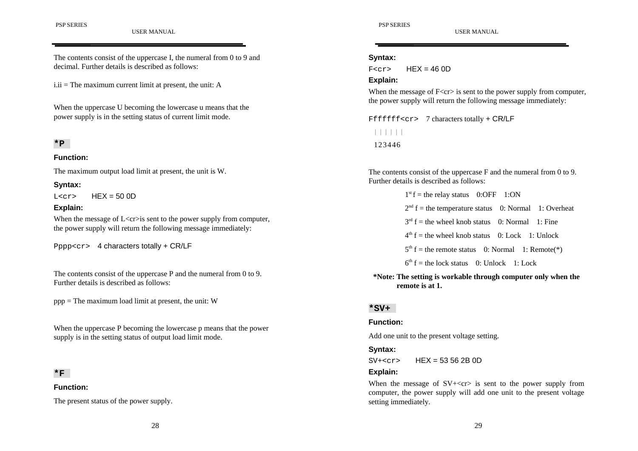# **Syntax:**

 $F<sub>cr></sub>$  HFX = 46.0D

#### **Explain:**

When the message of  $F < c r > i s$  sent to the power supply from computer, the power supply will return the following message immediately:

Fffffff<cr> 7 characters totally + CR/LF ∣∣∣∣∣∣ 123446

The contents consist of the uppercase F and the numeral from 0 to 9. Further details is described as follows:

> $1<sup>st</sup> f =$  the relay status 0:OFF 1:ON  $2<sup>nd</sup>$  f = the temperature status 0: Normal 1: Overheat  $3<sup>rd</sup>$  f = the wheel knob status 0: Normal 1: Fine  $4<sup>th</sup>$  f = the wheel knob status 0: Lock 1: Unlock  $5<sup>th</sup>$  f = the remote status 0: Normal 1: Remote(\*)  $6<sup>th</sup> f = the lock status$  0: Unlock 1: Lock

**\*Note: The setting is workable through computer only when the remote is at 1.**

#### **\*SV+**

#### **Function:**

Add one unit to the present voltage setting.

#### **Syntax:**

 $SV+<sub>cr</sub>$  HEX = 53 56 2B 0D

#### **Explain:**

When the message of  $SV + < c$  is sent to the power supply from computer, the power supply will add one unit to the present voltage setting immediately.

#### The contents consist of the uppercase I, the numeral from 0 to 9 and decimal. Further details is described as follows:

 $i.ii$  = The maximum current limit at present, the unit: A

When the uppercase U becoming the lowercase u means that the power supply is in the setting status of current limit mode.

# **\*P**

#### **Function:**

The maximum output load limit at present, the unit is W.

#### **Syntax:**

 $L < cr$  HEX = 50 0D

#### **Explain:**

When the message of  $L \leq c \leq s$  sent to the power supply from computer, the power supply will return the following message immediately:

Pppp<cr> 4 characters totally + CR/LF

The contents consist of the uppercase P and the numeral from 0 to 9. Further details is described as follows:

ppp = The maximum load limit at present, the unit: W

When the uppercase P becoming the lowercase p means that the power supply is in the setting status of output load limit mode.

#### **\*F**

#### **Function:**

The present status of the power supply.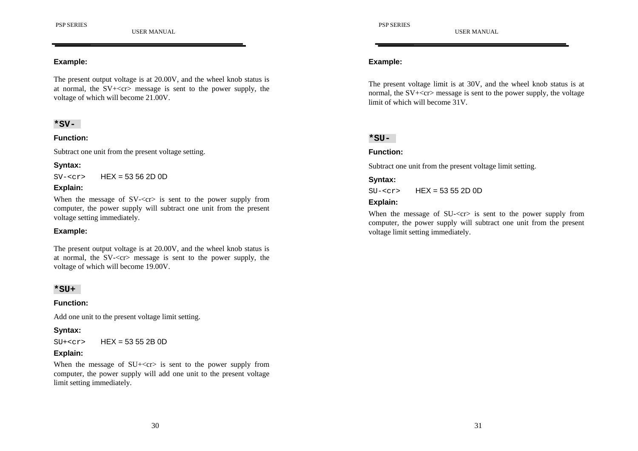#### **Example:**

The present output voltage is at 20.00V, and the wheel knob status is at normal, the  $SV + \langle cr \rangle$  message is sent to the power supply, the voltage of which will become 21.00V.

#### **\*SV-**

#### **Function:**

Subtract one unit from the present voltage setting.

## **Syntax:**

 $SV < cr$  HEX = 53 56 2D 0D

## **Explain:**

When the message of  $SV < cr$  is sent to the power supply from computer, the power supply will subtract one unit from the present voltage setting immediately.

#### **Example:**

The present output voltage is at 20.00V, and the wheel knob status is at normal, the SV-<cr> message is sent to the power supply, the voltage of which will become 19.00V.

#### **\*SU+**

#### **Function:**

Add one unit to the present voltage limit setting.

#### **Syntax:**

 $SU + <sub>cr</sub>$  HEX = 53 55 2B 0D

#### **Explain:**

When the message of  $SU + \langle cr \rangle$  is sent to the power supply from computer, the power supply will add one unit to the present voltage limit setting immediately.

#### **Example:**

The present voltage limit is at 30V, and the wheel knob status is at normal, the  $SV + < c$ r message is sent to the power supply, the voltage limit of which will become 31V.

#### **\*SU-**

#### **Function:**

Subtract one unit from the present voltage limit setting.

## **Syntax:**

 $SU - <sub>cr</sub> > HEX = 53552D0D$ 

#### **Explain:**

When the message of SU-<cr> is sent to the power supply from computer, the power supply will subtract one unit from the present voltage limit setting immediately.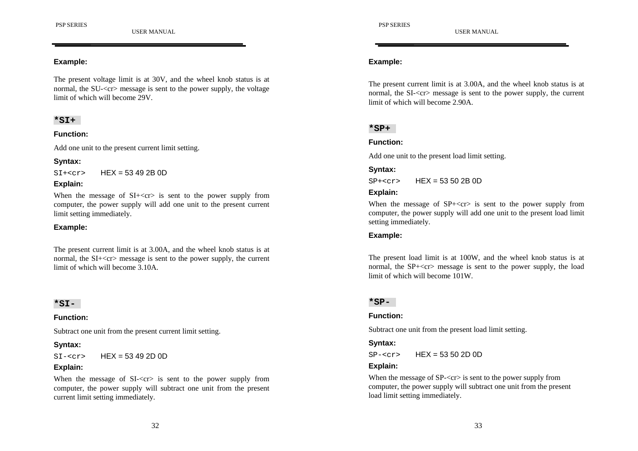#### **Example:**

The present voltage limit is at 30V, and the wheel knob status is at normal, the SU-<cr> message is sent to the power supply, the voltage limit of which will become 29V.

## **\*SI+**

#### **Function:**

Add one unit to the present current limit setting.

## **Syntax:**

 $SI+<sub>cr</sub>$  HEX = 53 49 2B 0D

## **Explain:**

When the message of  $SI + \langle cr \rangle$  is sent to the power supply from computer, the power supply will add one unit to the present current limit setting immediately.

# **Example:**

The present current limit is at 3.00A, and the wheel knob status is at normal, the SI+<cr> message is sent to the power supply, the current limit of which will become 3.10A.

#### **\*SI-**

#### **Function:**

Subtract one unit from the present current limit setting.

#### **Syntax:**

 $SI - < cr$  HEX = 53 49 2D 0D

#### **Explain:**

When the message of SI- $\langle cr \rangle$  is sent to the power supply from computer, the power supply will subtract one unit from the present current limit setting immediately.

# **Example:**

The present current limit is at 3.00A, and the wheel knob status is at normal, the SI-<cr> message is sent to the power supply, the current limit of which will become 2.90A.

# **\*SP+**

#### **Function:**

Add one unit to the present load limit setting.

## **Syntax:**

 $SP+<sub>corr</sub>$  HFX = 53.50.2B 0D

#### **Explain:**

When the message of  $SP + \langle cr \rangle$  is sent to the power supply from computer, the power supply will add one unit to the present load limit setting immediately.

#### **Example:**

The present load limit is at 100W, and the wheel knob status is at normal, the  $SP + \langle cr \rangle$  message is sent to the power supply, the load limit of which will become 101W.

#### **\*SP-**

#### **Function:**

Subtract one unit from the present load limit setting.

#### **Syntax:**

 $SP - < cr$  HEX = 53 50 2D 0D

#### **Explain:**

When the message of SP- $\langle$ cr $\rangle$  is sent to the power supply from computer, the power supply will subtract one unit from the present load limit setting immediately.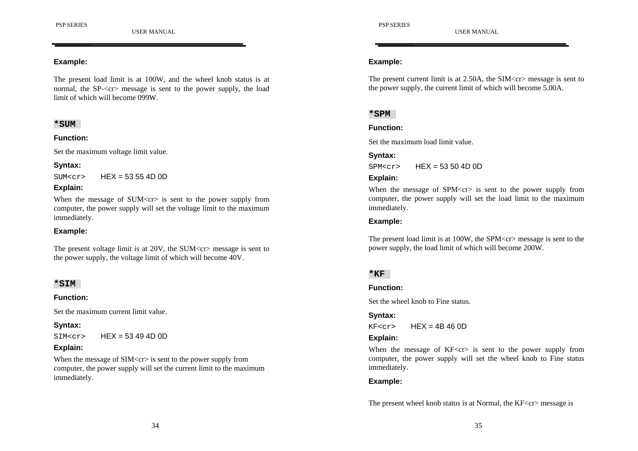#### **Example:**

The present load limit is at 100W, and the wheel knob status is at normal, the SP-<cr> message is sent to the power supply, the load limit of which will become 099W.

## **\*SUM**

#### **Function:**

Set the maximum voltage limit value.

**Syntax:**

 $SUM < c$ r>  $HEX = 53554D0D$ 

#### **Explain:**

When the message of  $SUM < c >$  is sent to the power supply from computer, the power supply will set the voltage limit to the maximum immediately.

#### **Example:**

The present voltage limit is at  $20V$ , the SUM $\langle$ cr $>$ message is sent to the power supply, the voltage limit of which will become 40V.

#### **\*SIM**

#### **Function:**

Set the maximum current limit value.

#### **Syntax:**

 $SIM < r$  HEX = 53 49 4D 0D

# **Explain:**

When the message of  $SIM < c r$  is sent to the power supply from computer, the power supply will set the current limit to the maximum immediately.

## **Example:**

The present current limit is at 2.50A, the SIM<cr> message is sent to the power supply, the current limit of which will become 5.00A.

# **\*SPM**

#### **Function:**

Set the maximum load limit value.

#### **Syntax:**

 $SPM < r > HFX = 53,50,4D,0D$ 

#### **Explain:**

When the message of  $SPM < cr>$  is sent to the power supply from computer, the power supply will set the load limit to the maximum immediately.

# **Example:**

The present load limit is at 100W, the SPM<cr> message is sent to the power supply, the load limit of which will become 200W.

# **\*KF**

#### **Function:**

Set the wheel knob to Fine status.

#### **Syntax:**

 $KF < cr$  HEX = 4B 46 0D

# **Explain:**

When the message of KF<cr> is sent to the power supply from computer, the power supply will set the wheel knob to Fine status immediately.

# **Example:**

The present wheel knob status is at Normal, the KF<cr> message is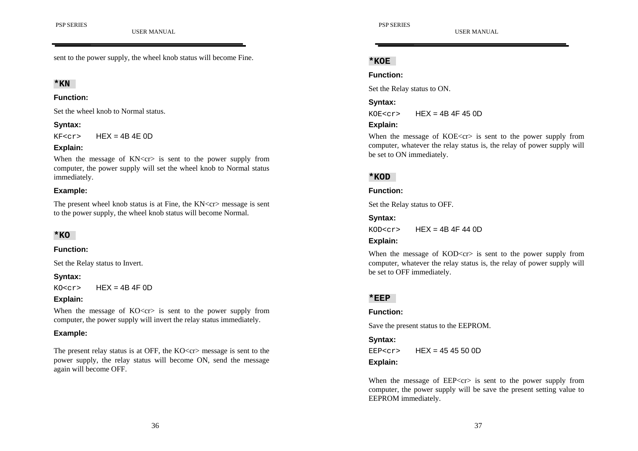sent to the power supply, the wheel knob status will become Fine.

# **\*KN**

#### **Function:**

Set the wheel knob to Normal status.

# **Syntax:**

 $KF<sub>cr</sub>$  HEX = 4B 4E 0D

## **Explain:**

When the message of KN<cr> is sent to the power supply from computer, the power supply will set the wheel knob to Normal status immediately.

# **Example:**

The present wheel knob status is at Fine, the KN<cr> message is sent to the power supply, the wheel knob status will become Normal.

# **\*KO**

#### **Function:**

Set the Relay status to Invert.

# **Syntax:**

 $KO < cr$  HEX = 4B 4F 0D

# **Explain:**

When the message of  $KO < cr$  is sent to the power supply from computer, the power supply will invert the relay status immediately.

# **Example:**

The present relay status is at OFF, the  $KO < cr$  message is sent to the power supply, the relay status will become ON, send the message again will become OFF.

## **\*KOE**

**Function:**

Set the Relay status to ON.

# **Syntax:**

 $KOE < cr$  HEX = 4B 4F 45 0D

## **Explain:**

When the message of  $KOE < cr>$  is sent to the power supply from computer, whatever the relay status is, the relay of power supply will be set to ON immediately.

# **\*KOD**

# **Function:**

Set the Relay status to OFF.

# **Syntax:**

 $KOD < c$ r>  $HEX = 4B 4F 44 0D$ 

# **Explain:**

When the message of  $KOD < cr>$  is sent to the power supply from computer, whatever the relay status is, the relay of power supply will be set to OFF immediately.

# **\*EEP**

#### **Function:**

Save the present status to the EEPROM.

# **Syntax:**

 $EEP<sub>crs</sub>$  HFX = 45 45 50 0D **Explain:**

When the message of  $EEP < cr>$  is sent to the power supply from computer, the power supply will be save the present setting value to EEPROM immediately.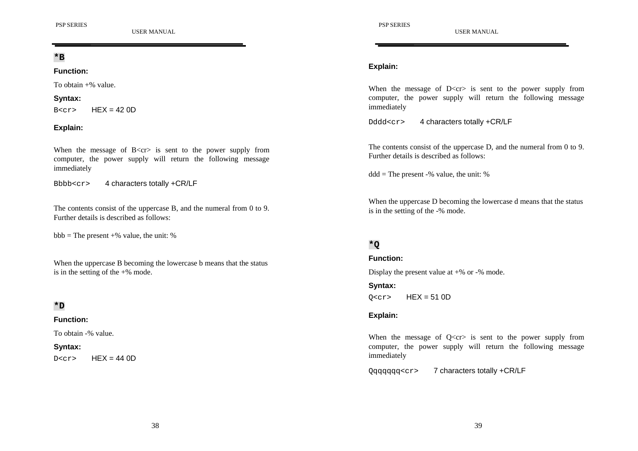**\*B**

#### **Function:**

To obtain +% value.

#### **Syntax:**

 $B<sub>corr</sub>$  HFX = 42 0D

# **Explain:**

When the message of  $B \leq c$ r> is sent to the power supply from computer, the power supply will return the following message immediately

Bbbb<cr> 4 characters totally +CR/LF

The contents consist of the uppercase B, and the numeral from 0 to 9. Further details is described as follows:

 $bbb = The present +\%$  value, the unit: %

When the uppercase B becoming the lowercase b means that the status is in the setting of the  $+$ % mode.

# **\*D**

# **Function:**

To obtain -% value.

#### **Syntax:**

 $D < c r$  HEX = 44 0D

USER MANUAL

# **Explain:**

When the message of  $D \leq c \leq r$  is sent to the power supply from computer, the power supply will return the following message immediately

Dddd<cr>
4 characters totally +CR/LF

The contents consist of the uppercase D, and the numeral from 0 to 9. Further details is described as follows:

 $ddd = The present -% value, the unit: %$ 

When the uppercase D becoming the lowercase d means that the status is in the setting of the -% mode.

# **\*Q**

**Function:**

Display the present value at +% or -% mode.

**Syntax:**  $0 < cr$  HEX = 51 0D

# **Explain:**

When the message of  $Q < c r >$  is sent to the power supply from computer, the power supply will return the following message immediately

Qqqqqqq<cr> 7 characters totally +CR/LF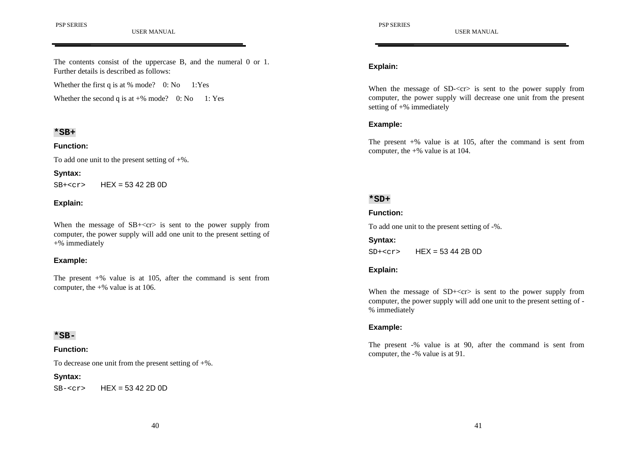PSP SERIES

USER MANUAL

#### The contents consist of the uppercase B, and the numeral 0 or 1. Further details is described as follows:

Whether the first q is at % mode?  $0: No$  1:Yes

Whether the second q is at  $+$ % mode? 0: No 1: Yes

#### **\*SB+**

#### **Function:**

To add one unit to the present setting of  $+$ %.

# **Syntax:**

 $SB+<sub>cr</sub>$  HEX = 53 42 2B 0D

#### **Explain:**

When the message of  $SB + < c$  is sent to the power supply from computer, the power supply will add one unit to the present setting of +% immediately

#### **Example:**

The present  $+$ % value is at 105, after the command is sent from computer, the  $+$ % value is at 106.

#### **\*SB-**

#### **Function:**

To decrease one unit from the present setting of  $+$ %.

#### **Syntax:**

 $SB - < cr$  HEX = 53 42 2D 0D

#### **Explain:**

When the message of SD- $\langle$ cr $\rangle$  is sent to the power supply from computer, the power supply will decrease one unit from the present setting of +% immediately

#### **Example:**

The present  $+$ % value is at 105, after the command is sent from computer, the  $+$ % value is at 104.

# **\*SD+**

#### **Function:**

To add one unit to the present setting of -%.

#### **Syntax:**

 $SD+<sub>cr></sub>$  HEX = 53 44 2B 0D

#### **Explain:**

When the message of  $SD+<$ cr $>$  is sent to the power supply from computer, the power supply will add one unit to the present setting of - % immediately

#### **Example:**

The present -% value is at 90, after the command is sent from computer, the -% value is at 91.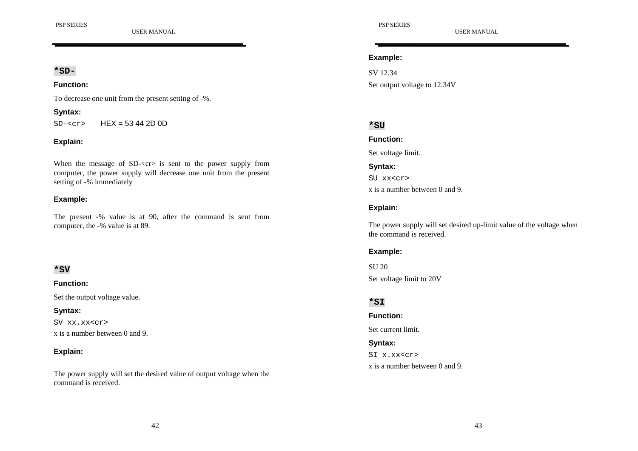#### **\*SD-**

#### **Function:**

To decrease one unit from the present setting of -%.

#### **Syntax:**

 $SD - <sub>cr</sub> > HEX = 53 44 2D 0D$ 

#### **Explain:**

When the message of SD-<cr> is sent to the power supply from computer, the power supply will decrease one unit from the present setting of -% immediately

## **Example:**

The present -% value is at 90, after the command is sent from computer, the -% value is at 89.

#### **\*SV**

#### **Function:**

Set the output voltage value.

#### **Syntax:**

SV xx.xx<cr>x is a number between 0 and 9.

# **Explain:**

The power supply will set the desired value of output voltage when the command is received.

USER MANUAL

#### **Example:**

SV 12.34Set output voltage to 12.34V

# **\*SU**

**Function:**

Set voltage limit.

**Syntax:** SU xx<cr>x is a number between 0 and 9.

# **Explain:**

The power supply will set desired up-limit value of the voltage when the command is received.

# **Example:**

SU 20Set voltage limit to 20V

# **\*SI**

**Function:**

Set current limit.

#### **Syntax:**

SI x.xx<cr>x is a number between 0 and 9.